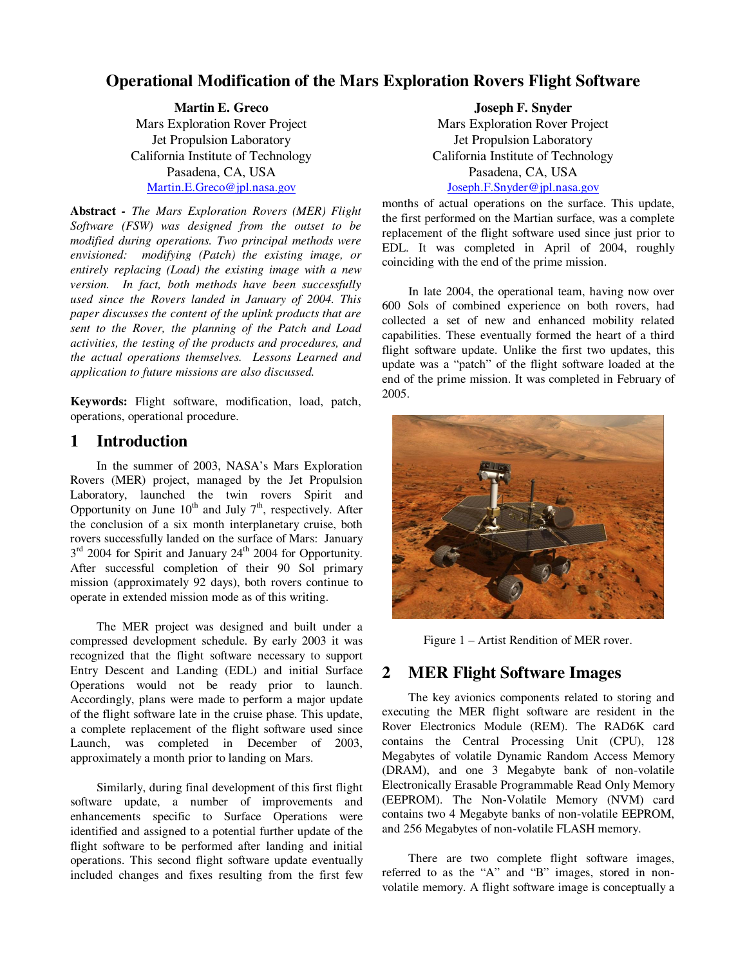### **Operational Modification of the Mars Exploration Rovers Flight Software**

**Martin E. Greco** Mars Exploration Rover Project Jet Propulsion Laboratory California Institute of Technology Pasadena, CA, USA Martin.E.Greco@jpl.nasa.gov

**Abstract** *- The Mars Exploration Rovers (MER) Flight Software (FSW) was designed from the outset to be modified during operations. Two principal methods were envisioned: modifying (Patch) the existing image, or entirely replacing (Load) the existing image with a new version. In fact, both methods have been successfully used since the Rovers landed in January of 2004. This paper discusses the content of the uplink products that are sent to the Rover, the planning of the Patch and Load activities, the testing of the products and procedures, and the actual operations themselves. Lessons Learned and application to future missions are also discussed.*

**Keywords:** Flight software, modification, load, patch, operations, operational procedure.

### **1 Introduction**

In the summer of 2003, NASA's Mars Exploration Rovers (MER) project, managed by the Jet Propulsion Laboratory, launched the twin rovers Spirit and Opportunity on June  $10^{th}$  and July  $7^{th}$ , respectively. After the conclusion of a six month interplanetary cruise, both rovers successfully landed on the surface of Mars: January 3<sup>rd</sup> 2004 for Spirit and January 24<sup>th</sup> 2004 for Opportunity. After successful completion of their 90 Sol primary mission (approximately 92 days), both rovers continue to operate in extended mission mode as of this writing.

The MER project was designed and built under a compressed development schedule. By early 2003 it was recognized that the flight software necessary to support Entry Descent and Landing (EDL) and initial Surface Operations would not be ready prior to launch. Accordingly, plans were made to perform a major update of the flight software late in the cruise phase. This update, a complete replacement of the flight software used since Launch, was completed in December of 2003, approximately a month prior to landing on Mars.

Similarly, during final development of this first flight software update, a number of improvements and enhancements specific to Surface Operations were identified and assigned to a potential further update of the flight software to be performed after landing and initial operations. This second flight software update eventually included changes and fixes resulting from the first few

**Joseph F. Snyder** Mars Exploration Rover Project Jet Propulsion Laboratory California Institute of Technology Pasadena, CA, USA Joseph.F.Snyder@jpl.nasa.gov

months of actual operations on the surface. This update, the first performed on the Martian surface, was a complete replacement of the flight software used since just prior to EDL. It was completed in April of 2004, roughly coinciding with the end of the prime mission.

In late 2004, the operational team, having now over 600 Sols of combined experience on both rovers, had collected a set of new and enhanced mobility related capabilities. These eventually formed the heart of a third flight software update. Unlike the first two updates, this update was a "patch" of the flight software loaded at the end of the prime mission. It was completed in February of 2005.



Figure 1 – Artist Rendition of MER rover.

#### **2 MER Flight Software Images**

The key avionics components related to storing and executing the MER flight software are resident in the Rover Electronics Module (REM). The RAD6K card contains the Central Processing Unit (CPU), 128 Megabytes of volatile Dynamic Random Access Memory (DRAM), and one 3 Megabyte bank of non-volatile Electronically Erasable Programmable Read Only Memory (EEPROM). The Non-Volatile Memory (NVM) card contains two 4 Megabyte banks of non-volatile EEPROM, and 256 Megabytes of non-volatile FLASH memory.

There are two complete flight software images, referred to as the "A" and "B" images, stored in nonvolatile memory. A flight software image is conceptually a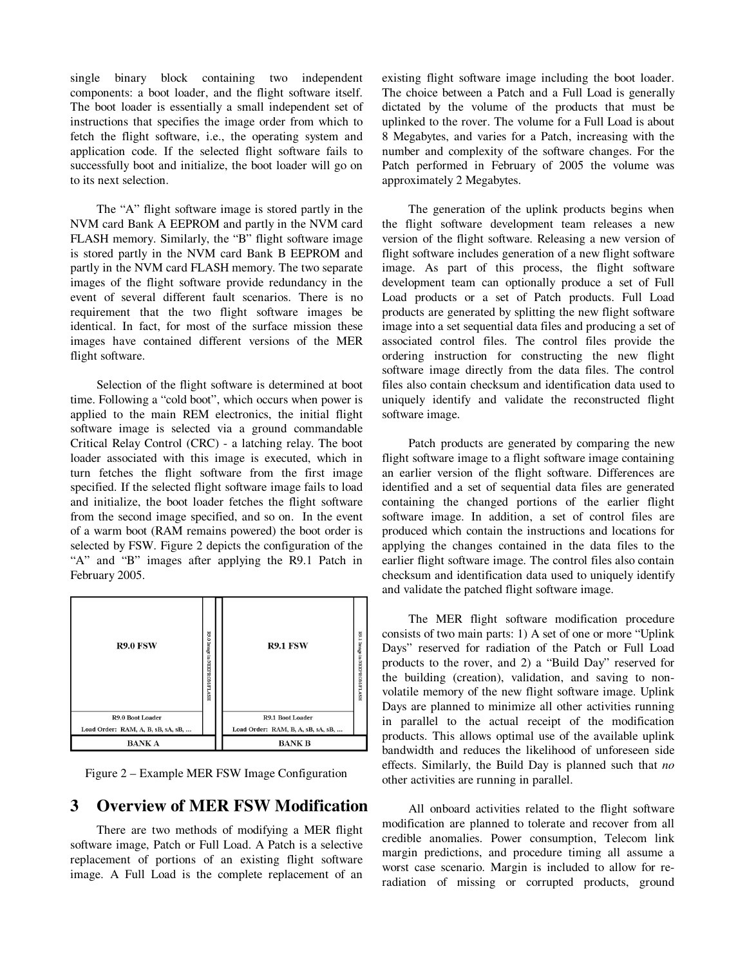single binary block containing two independent components: a boot loader, and the flight software itself. The boot loader is essentially a small independent set of instructions that specifies the image order from which to fetch the flight software, i.e., the operating system and application code. If the selected flight software fails to successfully boot and initialize, the boot loader will go on to its next selection.

The "A" flight software image is stored partly in the NVM card Bank A EEPROM and partly in the NVM card FLASH memory. Similarly, the "B" flight software image is stored partly in the NVM card Bank B EEPROM and partly in the NVM card FLASH memory. The two separate images of the flight software provide redundancy in the event of several different fault scenarios. There is no requirement that the two flight software images be identical. In fact, for most of the surface mission these images have contained different versions of the MER flight software.

Selection of the flight software is determined at boot time. Following a "cold boot", which occurs when power is applied to the main REM electronics, the initial flight software image is selected via a ground commandable Critical Relay Control (CRC) - a latching relay. The boot loader associated with this image is executed, which in turn fetches the flight software from the first image specified. If the selected flight software image fails to load and initialize, the boot loader fetches the flight software from the second image specified, and so on. In the event of a warm boot (RAM remains powered) the boot order is selected by FSW. Figure 2 depicts the configuration of the "A" and "B" images after applying the R9.1 Patch in February 2005.



Figure 2 – Example MER FSW Image Configuration

### **3 Overview of MER FSW Modification**

There are two methods of modifying a MER flight software image, Patch or Full Load. A Patch is a selective replacement of portions of an existing flight software image. A Full Load is the complete replacement of an

existing flight software image including the boot loader. The choice between a Patch and a Full Load is generally dictated by the volume of the products that must be uplinked to the rover. The volume for a Full Load is about 8 Megabytes, and varies for a Patch, increasing with the number and complexity of the software changes. For the Patch performed in February of 2005 the volume was approximately 2 Megabytes.

The generation of the uplink products begins when the flight software development team releases a new version of the flight software. Releasing a new version of flight software includes generation of a new flight software image. As part of this process, the flight software development team can optionally produce a set of Full Load products or a set of Patch products. Full Load products are generated by splitting the new flight software image into a set sequential data files and producing a set of associated control files. The control files provide the ordering instruction for constructing the new flight software image directly from the data files. The control files also contain checksum and identification data used to uniquely identify and validate the reconstructed flight software image.

Patch products are generated by comparing the new flight software image to a flight software image containing an earlier version of the flight software. Differences are identified and a set of sequential data files are generated containing the changed portions of the earlier flight software image. In addition, a set of control files are produced which contain the instructions and locations for applying the changes contained in the data files to the earlier flight software image. The control files also contain checksum and identification data used to uniquely identify and validate the patched flight software image.

The MER flight software modification procedure consists of two main parts: 1) A set of one or more "Uplink Days" reserved for radiation of the Patch or Full Load products to the rover, and 2) a "Build Day" reserved for the building (creation), validation, and saving to nonvolatile memory of the new flight software image. Uplink Days are planned to minimize all other activities running in parallel to the actual receipt of the modification products. This allows optimal use of the available uplink bandwidth and reduces the likelihood of unforeseen side effects. Similarly, the Build Day is planned such that *no* other activities are running in parallel.

All onboard activities related to the flight software modification are planned to tolerate and recover from all credible anomalies. Power consumption, Telecom link margin predictions, and procedure timing all assume a worst case scenario. Margin is included to allow for reradiation of missing or corrupted products, ground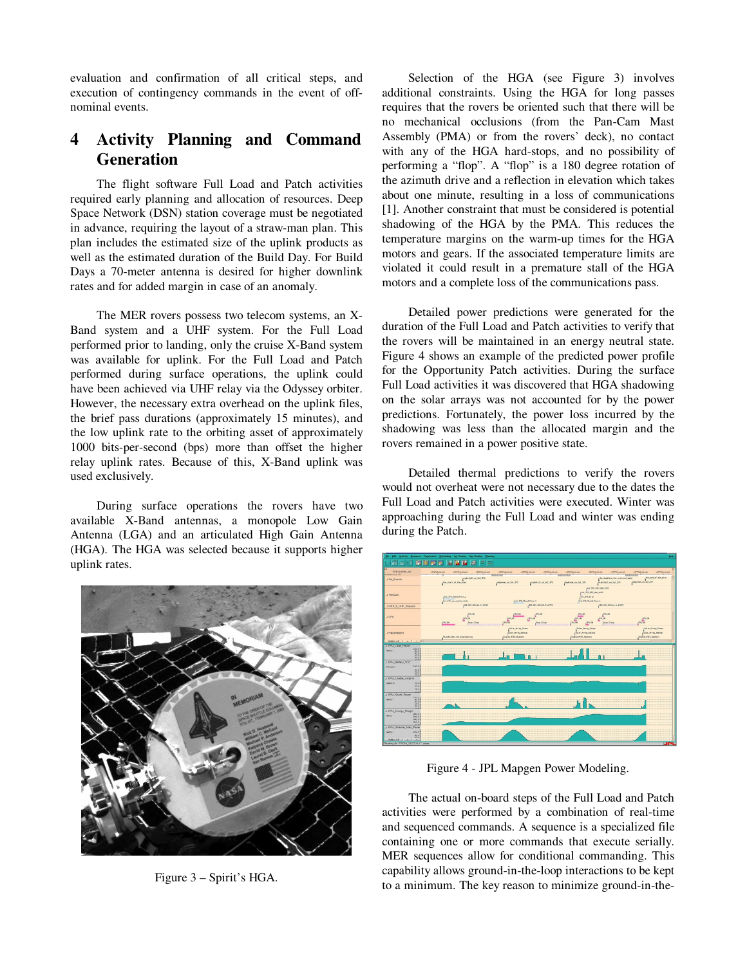evaluation and confirmation of all critical steps, and execution of contingency commands in the event of offnominal events.

# **4 Activity Planning and Command Generation**

The flight software Full Load and Patch activities required early planning and allocation of resources. Deep Space Network (DSN) station coverage must be negotiated in advance, requiring the layout of a straw-man plan. This plan includes the estimated size of the uplink products as well as the estimated duration of the Build Day. For Build Days a 70-meter antenna is desired for higher downlink rates and for added margin in case of an anomaly.

The MER rovers possess two telecom systems, an X-Band system and a UHF system. For the Full Load performed prior to landing, only the cruise X-Band system was available for uplink. For the Full Load and Patch performed during surface operations, the uplink could have been achieved via UHF relay via the Odyssey orbiter. However, the necessary extra overhead on the uplink files, the brief pass durations (approximately 15 minutes), and the low uplink rate to the orbiting asset of approximately 1000 bits-per-second (bps) more than offset the higher relay uplink rates. Because of this, X-Band uplink was used exclusively.

During surface operations the rovers have two available X-Band antennas, a monopole Low Gain Antenna (LGA) and an articulated High Gain Antenna (HGA). The HGA was selected because it supports higher uplink rates.



Figure 3 – Spirit's HGA.

Selection of the HGA (see Figure 3) involves additional constraints. Using the HGA for long passes requires that the rovers be oriented such that there will be no mechanical occlusions (from the Pan-Cam Mast Assembly (PMA) or from the rovers' deck), no contact with any of the HGA hard-stops, and no possibility of performing a "flop". A "flop" is a 180 degree rotation of the azimuth drive and a reflection in elevation which takes about one minute, resulting in a loss of communications [1]. Another constraint that must be considered is potential shadowing of the HGA by the PMA. This reduces the temperature margins on the warm-up times for the HGA motors and gears. If the associated temperature limits are violated it could result in a premature stall of the HGA motors and a complete loss of the communications pass.

Detailed power predictions were generated for the duration of the Full Load and Patch activities to verify that the rovers will be maintained in an energy neutral state. Figure 4 shows an example of the predicted power profile for the Opportunity Patch activities. During the surface Full Load activities it was discovered that HGA shadowing on the solar arrays was not accounted for by the power predictions. Fortunately, the power loss incurred by the shadowing was less than the allocated margin and the rovers remained in a power positive state.

Detailed thermal predictions to verify the rovers would not overheat were not necessary due to the dates the Full Load and Patch activities were executed. Winter was approaching during the Full Load and winter was ending during the Patch.



Figure 4 - JPL Mapgen Power Modeling.

The actual on-board steps of the Full Load and Patch activities were performed by a combination of real-time and sequenced commands. A sequence is a specialized file containing one or more commands that execute serially. MER sequences allow for conditional commanding. This capability allows ground-in-the-loop interactions to be kept to a minimum. The key reason to minimize ground-in-the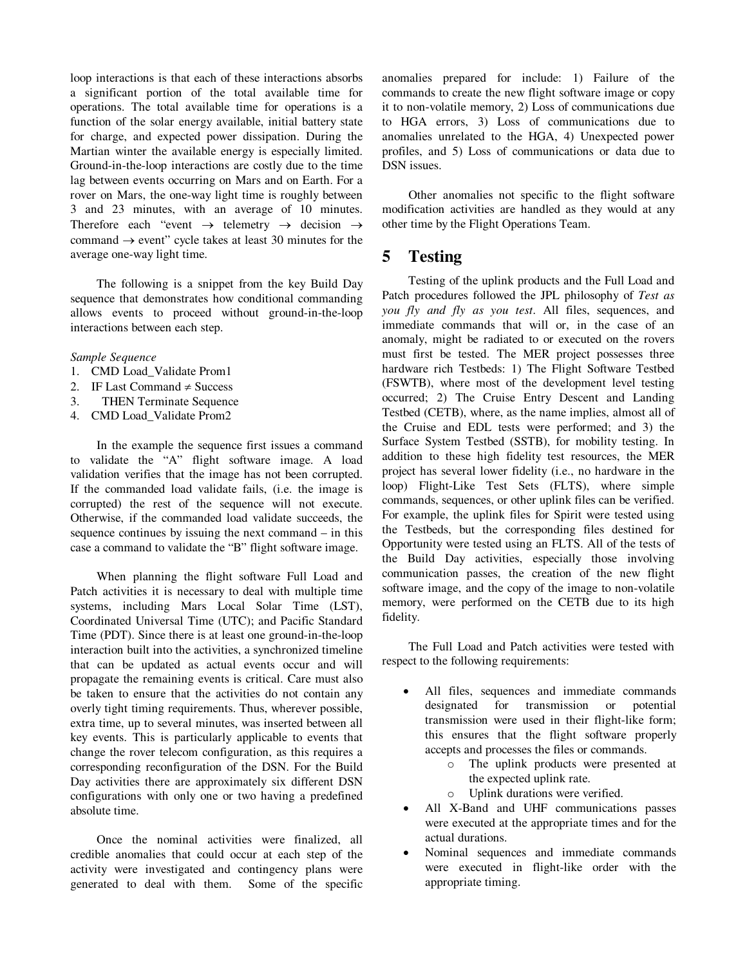loop interactions is that each of these interactions absorbs a significant portion of the total available time for operations. The total available time for operations is a function of the solar energy available, initial battery state for charge, and expected power dissipation. During the Martian winter the available energy is especially limited. Ground-in-the-loop interactions are costly due to the time lag between events occurring on Mars and on Earth. For a rover on Mars, the one-way light time is roughly between 3 and 23 minutes, with an average of 10 minutes. Therefore each "event  $\rightarrow$  telemetry  $\rightarrow$  decision  $\rightarrow$ command  $\rightarrow$  event" cycle takes at least 30 minutes for the average one-way light time.

The following is a snippet from the key Build Day sequence that demonstrates how conditional commanding allows events to proceed without ground-in-the-loop interactions between each step.

#### *Sample Sequence*

- 1. CMD Load\_Validate Prom1
- 2. IF Last Command  $\neq$  Success
- 3. THEN Terminate Sequence
- 4. CMD Load\_Validate Prom2

In the example the sequence first issues a command to validate the "A" flight software image. A load validation verifies that the image has not been corrupted. If the commanded load validate fails, (i.e. the image is corrupted) the rest of the sequence will not execute. Otherwise, if the commanded load validate succeeds, the sequence continues by issuing the next command – in this case a command to validate the "B" flight software image.

When planning the flight software Full Load and Patch activities it is necessary to deal with multiple time systems, including Mars Local Solar Time (LST), Coordinated Universal Time (UTC); and Pacific Standard Time (PDT). Since there is at least one ground-in-the-loop interaction built into the activities, a synchronized timeline that can be updated as actual events occur and will propagate the remaining events is critical. Care must also be taken to ensure that the activities do not contain any overly tight timing requirements. Thus, wherever possible, extra time, up to several minutes, was inserted between all key events. This is particularly applicable to events that change the rover telecom configuration, as this requires a corresponding reconfiguration of the DSN. For the Build Day activities there are approximately six different DSN configurations with only one or two having a predefined absolute time.

Once the nominal activities were finalized, all credible anomalies that could occur at each step of the activity were investigated and contingency plans were generated to deal with them. Some of the specific anomalies prepared for include: 1) Failure of the commands to create the new flight software image or copy it to non-volatile memory, 2) Loss of communications due to HGA errors, 3) Loss of communications due to anomalies unrelated to the HGA, 4) Unexpected power profiles, and 5) Loss of communications or data due to DSN issues.

Other anomalies not specific to the flight software modification activities are handled as they would at any other time by the Flight Operations Team.

### **5 Testing**

Testing of the uplink products and the Full Load and Patch procedures followed the JPL philosophy of *Test as you fly and fly as you test*. All files, sequences, and immediate commands that will or, in the case of an anomaly, might be radiated to or executed on the rovers must first be tested. The MER project possesses three hardware rich Testbeds: 1) The Flight Software Testbed (FSWTB), where most of the development level testing occurred; 2) The Cruise Entry Descent and Landing Testbed (CETB), where, as the name implies, almost all of the Cruise and EDL tests were performed; and 3) the Surface System Testbed (SSTB), for mobility testing. In addition to these high fidelity test resources, the MER project has several lower fidelity (i.e., no hardware in the loop) Flight-Like Test Sets (FLTS), where simple commands, sequences, or other uplink files can be verified. For example, the uplink files for Spirit were tested using the Testbeds, but the corresponding files destined for Opportunity were tested using an FLTS. All of the tests of the Build Day activities, especially those involving communication passes, the creation of the new flight software image, and the copy of the image to non-volatile memory, were performed on the CETB due to its high fidelity.

The Full Load and Patch activities were tested with respect to the following requirements:

- All files, sequences and immediate commands designated for transmission or potential transmission were used in their flight-like form; this ensures that the flight software properly accepts and processes the files or commands.
	- o The uplink products were presented at the expected uplink rate.
	- o Uplink durations were verified.
- All X-Band and UHF communications passes were executed at the appropriate times and for the actual durations.
- Nominal sequences and immediate commands were executed in flight-like order with the appropriate timing.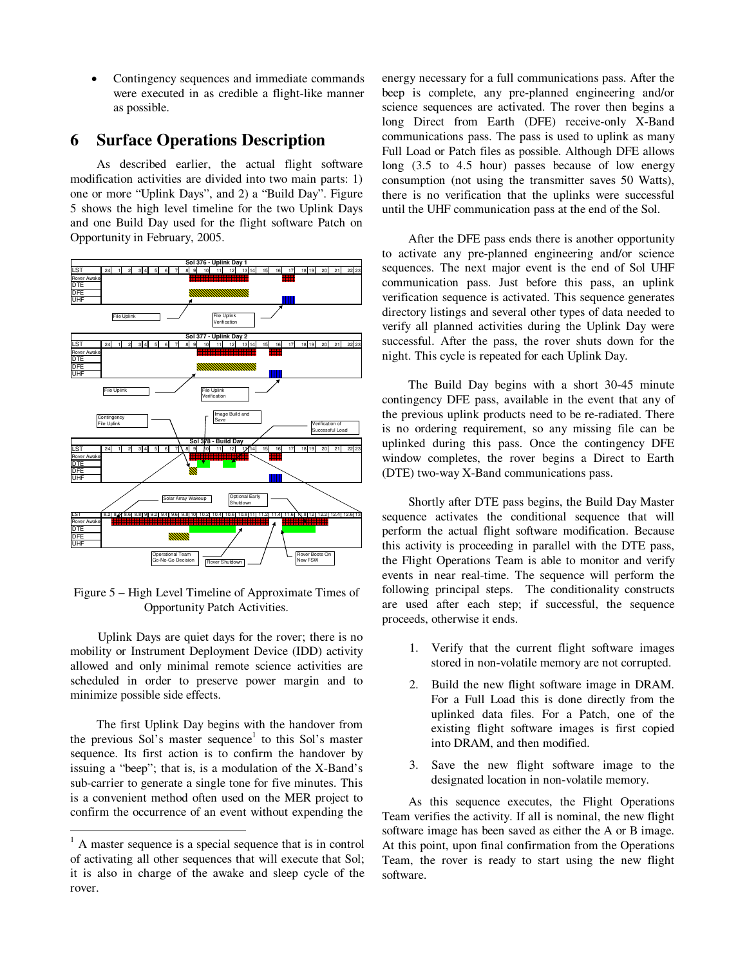Contingency sequences and immediate commands were executed in as credible a flight-like manner as possible.

### **6 Surface Operations Description**

As described earlier, the actual flight software modification activities are divided into two main parts: 1) one or more "Uplink Days", and 2) a "Build Day". Figure 5 shows the high level timeline for the two Uplink Days and one Build Day used for the flight software Patch on Opportunity in February, 2005.



Figure 5 – High Level Timeline of Approximate Times of Opportunity Patch Activities.

Uplink Days are quiet days for the rover; there is no mobility or Instrument Deployment Device (IDD) activity allowed and only minimal remote science activities are scheduled in order to preserve power margin and to minimize possible side effects.

The first Uplink Day begins with the handover from the previous Sol's master sequence<sup>1</sup> to this Sol's master sequence. Its first action is to confirm the handover by issuing a "beep"; that is, is a modulation of the X-Band's sub-carrier to generate a single tone for five minutes. This is a convenient method often used on the MER project to confirm the occurrence of an event without expending the

energy necessary for a full communications pass. After the beep is complete, any pre-planned engineering and/or science sequences are activated. The rover then begins a long Direct from Earth (DFE) receive-only X-Band communications pass. The pass is used to uplink as many Full Load or Patch files as possible. Although DFE allows long (3.5 to 4.5 hour) passes because of low energy consumption (not using the transmitter saves 50 Watts), there is no verification that the uplinks were successful until the UHF communication pass at the end of the Sol.

After the DFE pass ends there is another opportunity to activate any pre-planned engineering and/or science sequences. The next major event is the end of Sol UHF communication pass. Just before this pass, an uplink verification sequence is activated. This sequence generates directory listings and several other types of data needed to verify all planned activities during the Uplink Day were successful. After the pass, the rover shuts down for the night. This cycle is repeated for each Uplink Day.

The Build Day begins with a short 30-45 minute contingency DFE pass, available in the event that any of the previous uplink products need to be re-radiated. There is no ordering requirement, so any missing file can be uplinked during this pass. Once the contingency DFE window completes, the rover begins a Direct to Earth (DTE) two-way X-Band communications pass.

Shortly after DTE pass begins, the Build Day Master sequence activates the conditional sequence that will perform the actual flight software modification. Because this activity is proceeding in parallel with the DTE pass, the Flight Operations Team is able to monitor and verify events in near real-time. The sequence will perform the following principal steps. The conditionality constructs are used after each step; if successful, the sequence proceeds, otherwise it ends.

- 1. Verify that the current flight software images stored in non-volatile memory are not corrupted.
- 2. Build the new flight software image in DRAM. For a Full Load this is done directly from the uplinked data files. For a Patch, one of the existing flight software images is first copied into DRAM, and then modified.
- 3. Save the new flight software image to the designated location in non-volatile memory.

As this sequence executes, the Flight Operations Team verifies the activity. If all is nominal, the new flight software image has been saved as either the A or B image. At this point, upon final confirmation from the Operations Team, the rover is ready to start using the new flight software.

 $<sup>1</sup>$  A master sequence is a special sequence that is in control</sup> of activating all other sequences that will execute that Sol; it is also in charge of the awake and sleep cycle of the rover.